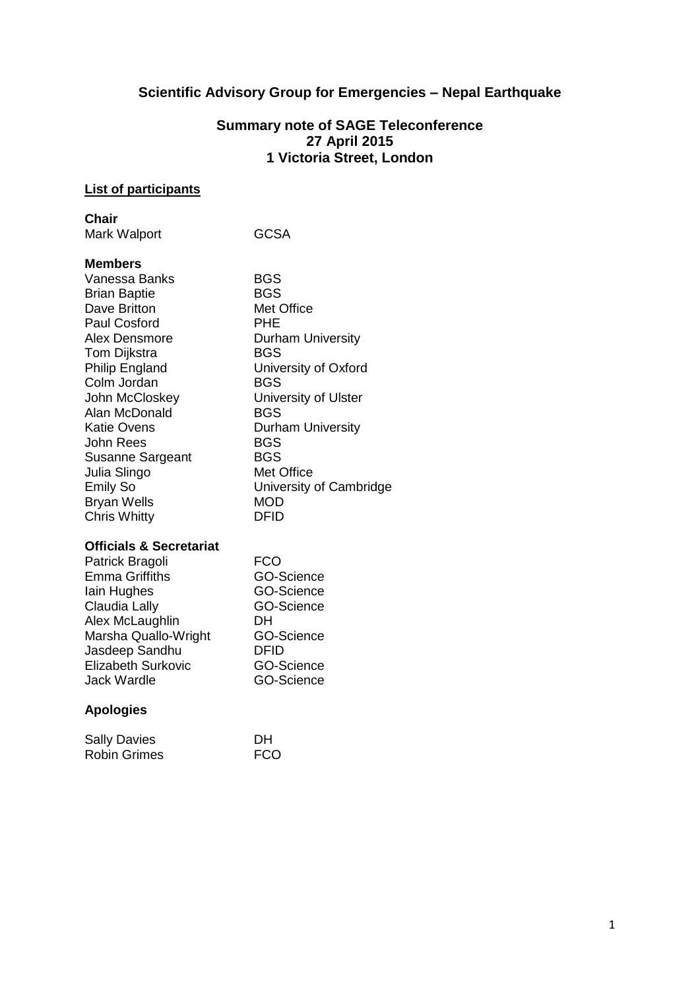# **Scientific Advisory Group for Emergencies – Nepal Earthquake**

### **Summary note of SAGE Teleconference 27 April 2015 1 Victoria Street, London**

### **List of participants**

#### **Chair**

| Mark Walport | <b>GCSA</b> |
|--------------|-------------|
|              |             |

### **Members**

| Vanessa Banks           |
|-------------------------|
| <b>Brian Baptie</b>     |
| Dave Britton            |
| <b>Paul Cosford</b>     |
| Alex Densmore           |
| Tom Dijkstra            |
| <b>Philip England</b>   |
| Colm Jordan             |
| John McCloskey          |
| Alan McDonald           |
| Katie Ovens             |
| John Rees               |
| <b>Susanne Sargeant</b> |
| Julia Slingo            |
| <b>Emily So</b>         |
| <b>Bryan Wells</b>      |
| <b>Chris Whitty</b>     |

 $BGS$ **BGS** Met Office PHE **Durham University BGS** University of Oxford BGS University of Ulster **BGS Durham University** BGS BGS Met Office University of Cambridge MOD DFID

#### **Officials & Secretariat**

| FCO               |
|-------------------|
| GO-Science        |
| <b>GO-Science</b> |
| GO-Science        |
| DH                |
| GO-Science        |
| DFID              |
| <b>GO-Science</b> |
| GO-Science        |
|                   |

## **Apologies**

| <b>Sally Davies</b> | <b>DH</b>  |
|---------------------|------------|
| <b>Robin Grimes</b> | <b>FCO</b> |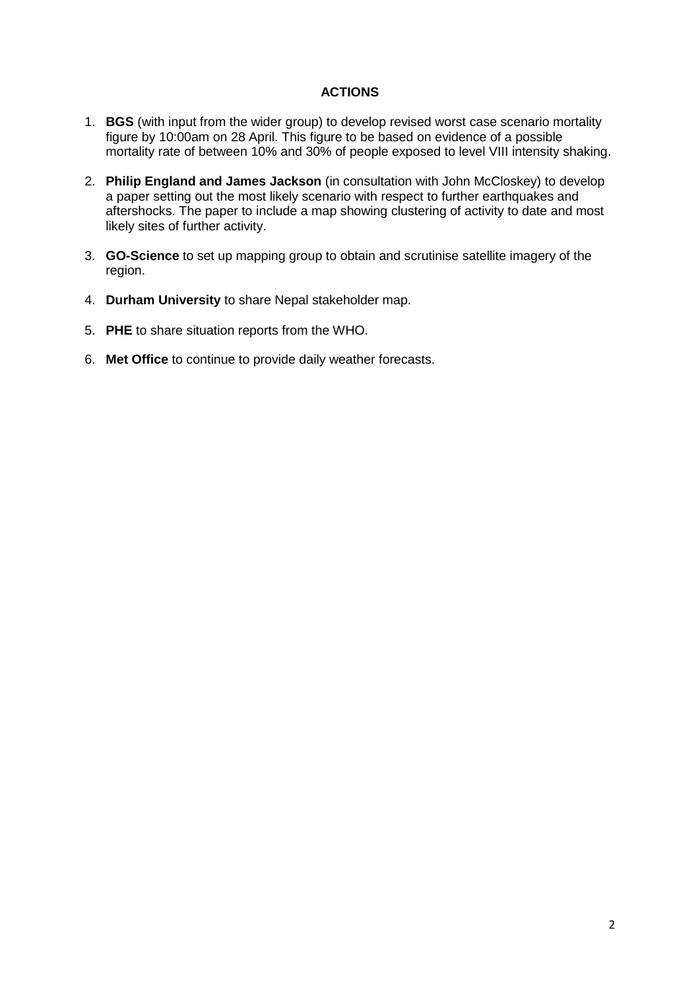### **ACTIONS**

- 1. **BGS** (with input from the wider group) to develop revised worst case scenario mortality figure by 10:00am on 28 April. This figure to be based on evidence of a possible mortality rate of between 10% and 30% of people exposed to level VIII intensity shaking.
- 2. **Philip England and James Jackson** (in consultation with John McCloskey) to develop a paper setting out the most likely scenario with respect to further earthquakes and aftershocks. The paper to include a map showing clustering of activity to date and most likely sites of further activity.
- 3. **GO-Science** to set up mapping group to obtain and scrutinise satellite imagery of the region.
- 4. **Durham University** to share Nepal stakeholder map.
- 5. **PHE** to share situation reports from the WHO.
- 6. **Met Office** to continue to provide daily weather forecasts.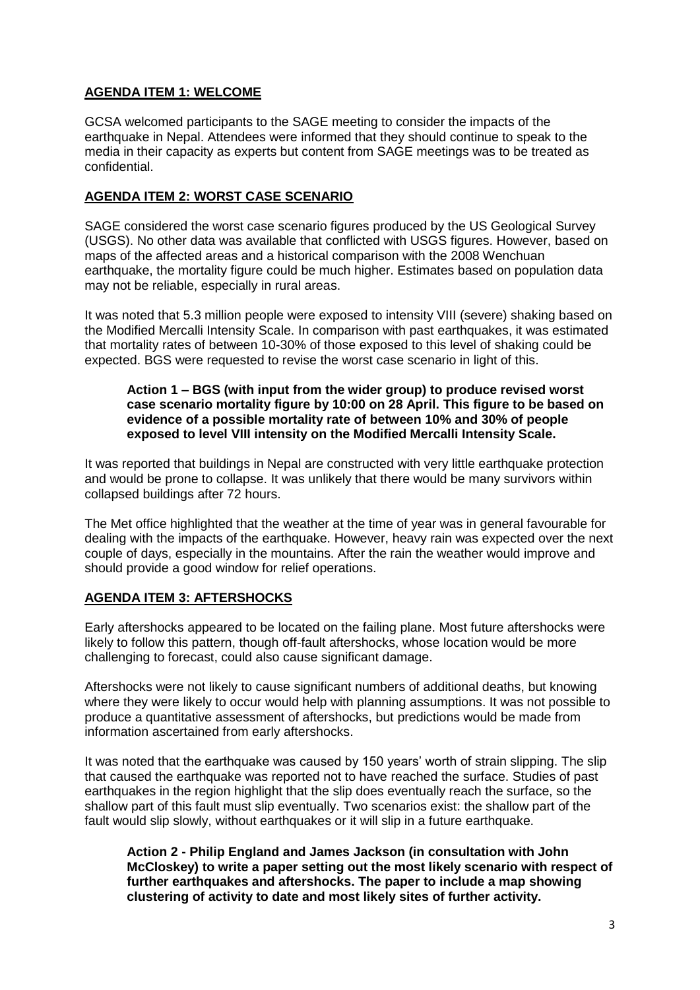## **AGENDA ITEM 1: WELCOME**

GCSA welcomed participants to the SAGE meeting to consider the impacts of the earthquake in Nepal. Attendees were informed that they should continue to speak to the media in their capacity as experts but content from SAGE meetings was to be treated as confidential.

### **AGENDA ITEM 2: WORST CASE SCENARIO**

SAGE considered the worst case scenario figures produced by the US Geological Survey (USGS). No other data was available that conflicted with USGS figures. However, based on maps of the affected areas and a historical comparison with the 2008 Wenchuan earthquake, the mortality figure could be much higher. Estimates based on population data may not be reliable, especially in rural areas.

It was noted that 5.3 million people were exposed to intensity VIII (severe) shaking based on the Modified Mercalli Intensity Scale. In comparison with past earthquakes, it was estimated that mortality rates of between 10-30% of those exposed to this level of shaking could be expected. BGS were requested to revise the worst case scenario in light of this.

#### **Action 1 – BGS (with input from the wider group) to produce revised worst case scenario mortality figure by 10:00 on 28 April. This figure to be based on evidence of a possible mortality rate of between 10% and 30% of people exposed to level VIII intensity on the Modified Mercalli Intensity Scale.**

It was reported that buildings in Nepal are constructed with very little earthquake protection and would be prone to collapse. It was unlikely that there would be many survivors within collapsed buildings after 72 hours.

The Met office highlighted that the weather at the time of year was in general favourable for dealing with the impacts of the earthquake. However, heavy rain was expected over the next couple of days, especially in the mountains. After the rain the weather would improve and should provide a good window for relief operations.

#### **AGENDA ITEM 3: AFTERSHOCKS**

Early aftershocks appeared to be located on the failing plane. Most future aftershocks were likely to follow this pattern, though off-fault aftershocks, whose location would be more challenging to forecast, could also cause significant damage.

Aftershocks were not likely to cause significant numbers of additional deaths, but knowing where they were likely to occur would help with planning assumptions. It was not possible to produce a quantitative assessment of aftershocks, but predictions would be made from information ascertained from early aftershocks.

It was noted that the earthquake was caused by 150 years' worth of strain slipping. The slip that caused the earthquake was reported not to have reached the surface. Studies of past earthquakes in the region highlight that the slip does eventually reach the surface, so the shallow part of this fault must slip eventually. Two scenarios exist: the shallow part of the fault would slip slowly, without earthquakes or it will slip in a future earthquake.

**Action 2 - Philip England and James Jackson (in consultation with John McCloskey) to write a paper setting out the most likely scenario with respect of further earthquakes and aftershocks. The paper to include a map showing clustering of activity to date and most likely sites of further activity.**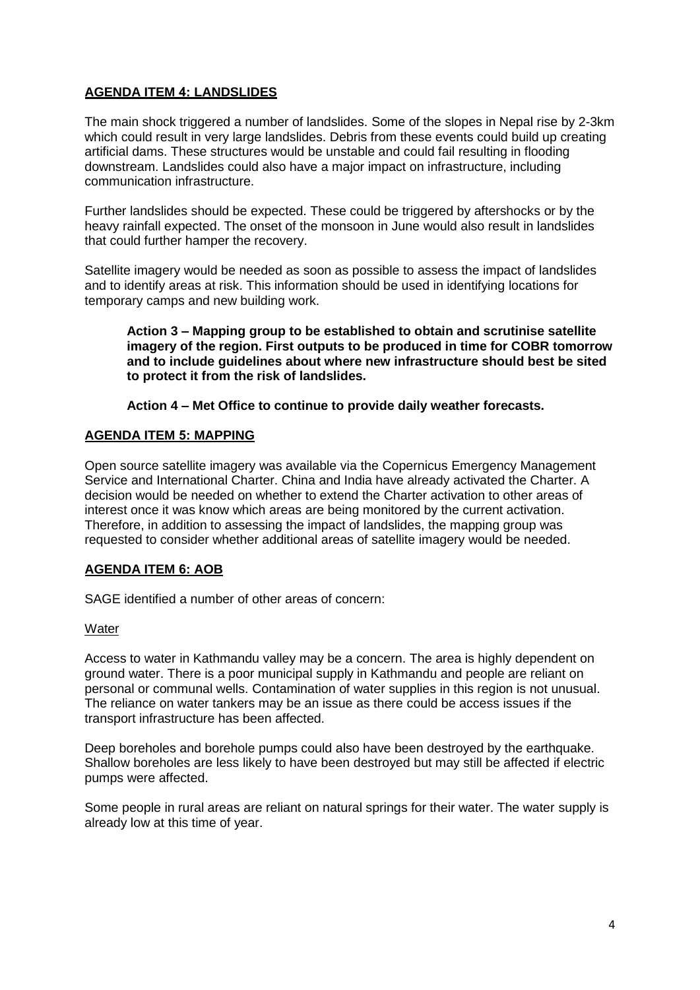## **AGENDA ITEM 4: LANDSLIDES**

The main shock triggered a number of landslides. Some of the slopes in Nepal rise by 2-3km which could result in very large landslides. Debris from these events could build up creating artificial dams. These structures would be unstable and could fail resulting in flooding downstream. Landslides could also have a major impact on infrastructure, including communication infrastructure.

Further landslides should be expected. These could be triggered by aftershocks or by the heavy rainfall expected. The onset of the monsoon in June would also result in landslides that could further hamper the recovery.

Satellite imagery would be needed as soon as possible to assess the impact of landslides and to identify areas at risk. This information should be used in identifying locations for temporary camps and new building work.

**Action 3 – Mapping group to be established to obtain and scrutinise satellite imagery of the region. First outputs to be produced in time for COBR tomorrow and to include guidelines about where new infrastructure should best be sited to protect it from the risk of landslides.** 

**Action 4 – Met Office to continue to provide daily weather forecasts.** 

### **AGENDA ITEM 5: MAPPING**

Open source satellite imagery was available via the Copernicus Emergency Management Service and International Charter. China and India have already activated the Charter. A decision would be needed on whether to extend the Charter activation to other areas of interest once it was know which areas are being monitored by the current activation. Therefore, in addition to assessing the impact of landslides, the mapping group was requested to consider whether additional areas of satellite imagery would be needed.

### **AGENDA ITEM 6: AOB**

SAGE identified a number of other areas of concern:

#### **Water**

Access to water in Kathmandu valley may be a concern. The area is highly dependent on ground water. There is a poor municipal supply in Kathmandu and people are reliant on personal or communal wells. Contamination of water supplies in this region is not unusual. The reliance on water tankers may be an issue as there could be access issues if the transport infrastructure has been affected.

Deep boreholes and borehole pumps could also have been destroyed by the earthquake. Shallow boreholes are less likely to have been destroyed but may still be affected if electric pumps were affected.

Some people in rural areas are reliant on natural springs for their water. The water supply is already low at this time of year.